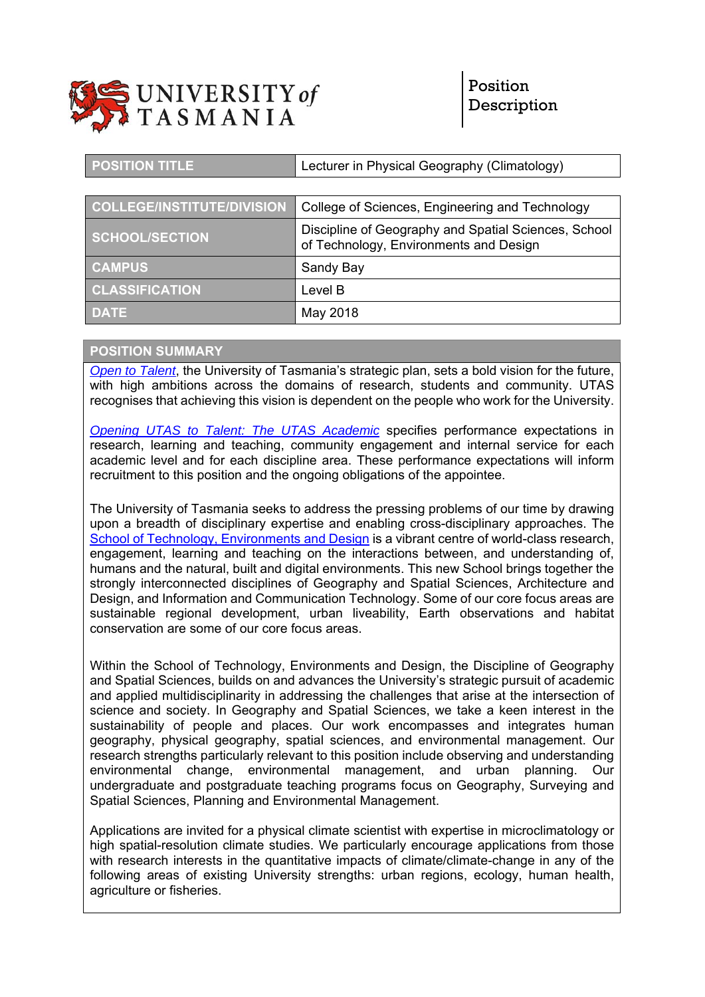

| <b>POSITION TITLE</b>             | Lecturer in Physical Geography (Climatology)                                                   |
|-----------------------------------|------------------------------------------------------------------------------------------------|
|                                   |                                                                                                |
| <b>COLLEGE/INSTITUTE/DIVISION</b> | College of Sciences, Engineering and Technology                                                |
| SCHOOL/SECTION                    | Discipline of Geography and Spatial Sciences, School<br>of Technology, Environments and Design |
| <b>CAMPUS</b>                     | Sandy Bay                                                                                      |
| <b>CLASSIFICATION</b>             | Level B                                                                                        |
| <b>DATE</b>                       | May 2018                                                                                       |

#### **POSITION SUMMARY**

*Open to Talent*, the University of Tasmania's strategic plan, sets a bold vision for the future, with high ambitions across the domains of research, students and community. UTAS recognises that achieving this vision is dependent on the people who work for the University.

*Opening UTAS to Talent: The UTAS Academic* specifies performance expectations in research, learning and teaching, community engagement and internal service for each academic level and for each discipline area. These performance expectations will inform recruitment to this position and the ongoing obligations of the appointee.

The University of Tasmania seeks to address the pressing problems of our time by drawing upon a breadth of disciplinary expertise and enabling cross-disciplinary approaches. The School of Technology, Environments and Design is a vibrant centre of world-class research, engagement, learning and teaching on the interactions between, and understanding of, humans and the natural, built and digital environments. This new School brings together the strongly interconnected disciplines of Geography and Spatial Sciences, Architecture and Design, and Information and Communication Technology. Some of our core focus areas are sustainable regional development, urban liveability, Earth observations and habitat conservation are some of our core focus areas.

Within the School of Technology, Environments and Design, the Discipline of Geography and Spatial Sciences, builds on and advances the University's strategic pursuit of academic and applied multidisciplinarity in addressing the challenges that arise at the intersection of science and society. In Geography and Spatial Sciences, we take a keen interest in the sustainability of people and places. Our work encompasses and integrates human geography, physical geography, spatial sciences, and environmental management. Our research strengths particularly relevant to this position include observing and understanding environmental change, environmental management, and urban planning. Our undergraduate and postgraduate teaching programs focus on Geography, Surveying and Spatial Sciences, Planning and Environmental Management.

Applications are invited for a physical climate scientist with expertise in microclimatology or high spatial-resolution climate studies. We particularly encourage applications from those with research interests in the quantitative impacts of climate/climate-change in any of the following areas of existing University strengths: urban regions, ecology, human health, agriculture or fisheries.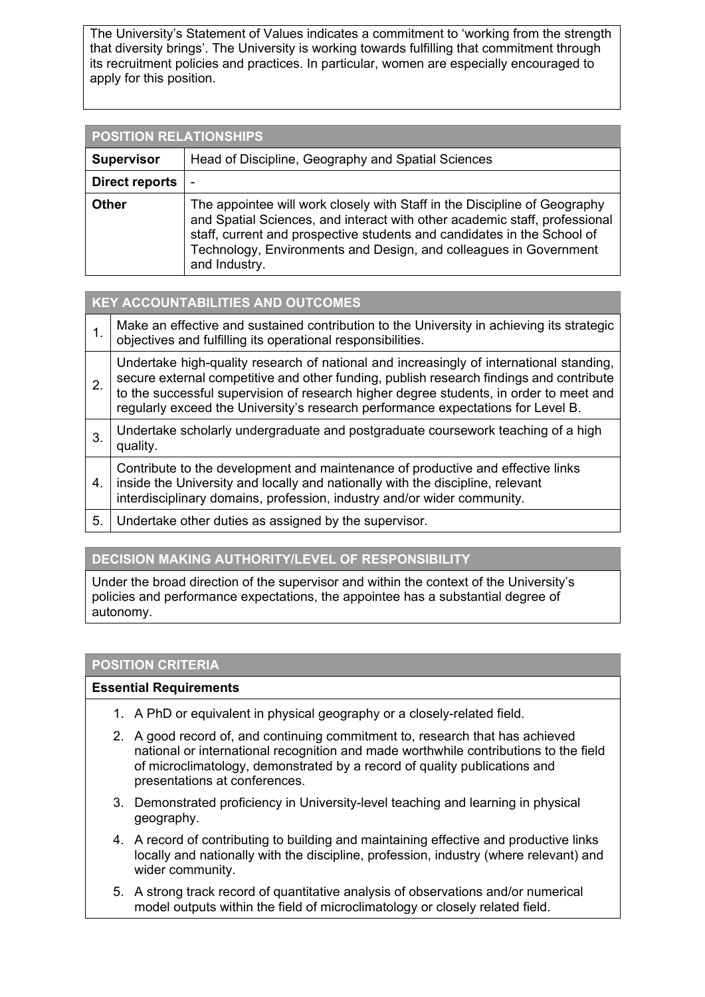The University's Statement of Values indicates a commitment to 'working from the strength that diversity brings'. The University is working towards fulfilling that commitment through its recruitment policies and practices. In particular, women are especially encouraged to apply for this position.

| <b>POSITION RELATIONSHIPS</b> |                                                                                                                                                                                                                                                                                                                          |  |
|-------------------------------|--------------------------------------------------------------------------------------------------------------------------------------------------------------------------------------------------------------------------------------------------------------------------------------------------------------------------|--|
| <b>Supervisor</b>             | Head of Discipline, Geography and Spatial Sciences                                                                                                                                                                                                                                                                       |  |
| Direct reports                | -                                                                                                                                                                                                                                                                                                                        |  |
| <b>Other</b>                  | The appointee will work closely with Staff in the Discipline of Geography<br>and Spatial Sciences, and interact with other academic staff, professional<br>staff, current and prospective students and candidates in the School of<br>Technology, Environments and Design, and colleagues in Government<br>and Industry. |  |

## **KEY ACCOUNTABILITIES AND OUTCOMES**

| 1. | Make an effective and sustained contribution to the University in achieving its strategic<br>objectives and fulfilling its operational responsibilities.                                                                                                                                                                                                         |
|----|------------------------------------------------------------------------------------------------------------------------------------------------------------------------------------------------------------------------------------------------------------------------------------------------------------------------------------------------------------------|
| 2. | Undertake high-quality research of national and increasingly of international standing,<br>secure external competitive and other funding, publish research findings and contribute<br>to the successful supervision of research higher degree students, in order to meet and<br>regularly exceed the University's research performance expectations for Level B. |
| 3. | Undertake scholarly undergraduate and postgraduate coursework teaching of a high<br>quality.                                                                                                                                                                                                                                                                     |
| 4. | Contribute to the development and maintenance of productive and effective links<br>inside the University and locally and nationally with the discipline, relevant<br>interdisciplinary domains, profession, industry and/or wider community.                                                                                                                     |
| 5. | Undertake other duties as assigned by the supervisor.                                                                                                                                                                                                                                                                                                            |

## **DECISION MAKING AUTHORITY/LEVEL OF RESPONSIBILITY**

Under the broad direction of the supervisor and within the context of the University's policies and performance expectations, the appointee has a substantial degree of autonomy.

### **POSITION CRITERIA**

### **Essential Requirements**

- 1. A PhD or equivalent in physical geography or a closely-related field.
- 2. A good record of, and continuing commitment to, research that has achieved national or international recognition and made worthwhile contributions to the field of microclimatology, demonstrated by a record of quality publications and presentations at conferences.
- 3. Demonstrated proficiency in University-level teaching and learning in physical geography.
- 4. A record of contributing to building and maintaining effective and productive links locally and nationally with the discipline, profession, industry (where relevant) and wider community.
- 5. A strong track record of quantitative analysis of observations and/or numerical model outputs within the field of microclimatology or closely related field.